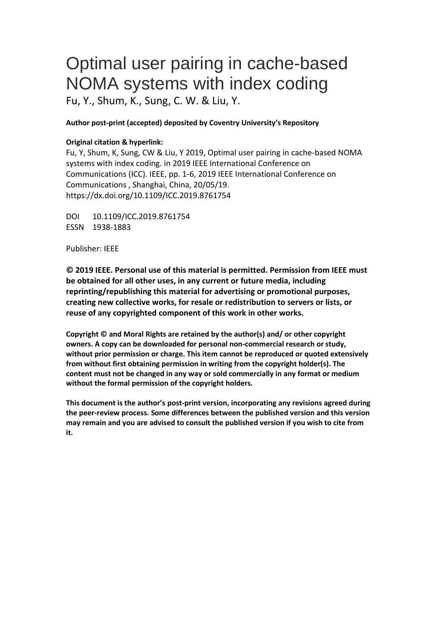# Optimal user pairing in cache-based NOMA systems with index coding Fu, Y., Shum, K., Sung, C. W. & Liu, Y.

## **Author post-print (accepted) deposited by Coventry University's Repository**

## **Original citation & hyperlink:**

Fu, Y, Shum, K, Sung, CW & Liu, Y 2019, Optimal user pairing in cache-based NOMA systems with index coding. in 2019 IEEE International Conference on Communications (ICC). IEEE, pp. 1-6, 2019 IEEE International Conference on Communications , Shanghai, China, 20/05/19. https://dx.doi.org/10.1109/ICC.2019.8761754

DOI 10.1109/ICC.2019.8761754 ESSN 1938-1883

Publisher: IEEE

**© 2019 IEEE. Personal use of this material is permitted. Permission from IEEE must be obtained for all other uses, in any current or future media, including reprinting/republishing this material for advertising or promotional purposes, creating new collective works, for resale or redistribution to servers or lists, or reuse of any copyrighted component of this work in other works.**

**Copyright © and Moral Rights are retained by the author(s) and/ or other copyright owners. A copy can be downloaded for personal non-commercial research or study, without prior permission or charge. This item cannot be reproduced or quoted extensively from without first obtaining permission in writing from the copyright holder(s). The content must not be changed in any way or sold commercially in any format or medium without the formal permission of the copyright holders.** 

**This document is the author's post-print version, incorporating any revisions agreed during the peer-review process. Some differences between the published version and this version may remain and you are advised to consult the published version if you wish to cite from it.**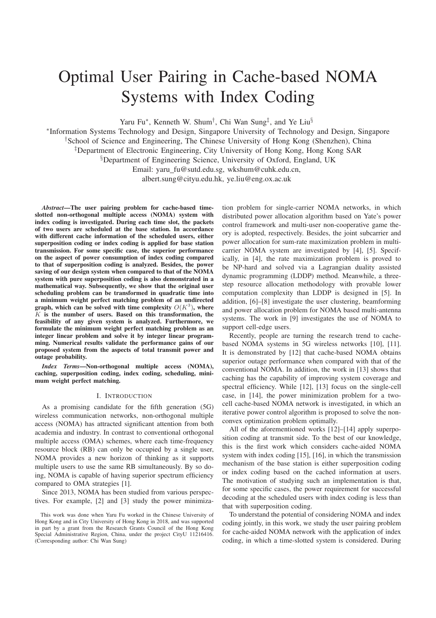# Optimal User Pairing in Cache-based NOMA Systems with Index Coding

Yaru Fu<sup>\*</sup>, Kenneth W. Shum<sup>†</sup>, Chi Wan Sung<sup>‡</sup>, and Ye Liu<sup>§</sup>

<sup>∗</sup>Information Systems Technology and Design, Singapore University of Technology and Design, Singapore †School of Science and Engineering, The Chinese University of Hong Kong (Shenzhen), China ‡Department of Electronic Engineering, City University of Hong Kong, Hong Kong SAR §Department of Engineering Science, University of Oxford, England, UK Email: yaru fu@sutd.edu.sg, wkshum@cuhk.edu.cn, albert.sung@cityu.edu.hk, ye.liu@eng.ox.ac.uk

*Abstract*—The user pairing problem for cache-based timeslotted non-orthogonal multiple access (NOMA) system with index coding is investigated. During each time slot, the packets of two users are scheduled at the base station. In accordance with different cache information of the scheduled users, either superposition coding or index coding is applied for base station transmission. For some specific case, the superior performance on the aspect of power consumption of index coding compared to that of superposition coding is analyzed. Besides, the power saving of our design system when compared to that of the NOMA system with pure superposition coding is also demonstrated in a mathematical way. Subsequently, we show that the original user scheduling problem can be transformed in quadratic time into a minimum weight perfect matching problem of an undirected graph, which can be solved with time complexity  $O(K^3)$ , where  $K$  is the number of users. Based on this transformation, the feasibility of any given system is analyzed. Furthermore, we formulate the minimum weight perfect matching problem as an integer linear problem and solve it by integer linear programming. Numerical results validate the performance gains of our proposed system from the aspects of total transmit power and outage probability.

*Index Terms*—Non-orthogonal multiple access (NOMA), caching, superposition coding, index coding, scheduling, minimum weight perfect matching.

#### I. INTRODUCTION

As a promising candidate for the fifth generation (5G) wireless communication networks, non-orthogonal multiple access (NOMA) has attracted significant attention from both academia and industry. In contrast to conventional orthogonal multiple access (OMA) schemes, where each time-frequency resource block (RB) can only be occupied by a single user, NOMA provides a new horizon of thinking as it supports multiple users to use the same RB simultaneously. By so doing, NOMA is capable of having superior spectrum efficiency compared to OMA strategies [1].

Since 2013, NOMA has been studied from various perspectives. For example, [2] and [3] study the power minimiza-

This work was done when Yaru Fu worked in the Chinese University of Hong Kong and in City University of Hong Kong in 2018, and was supported in part by a grant from the Research Grants Council of the Hong Kong Special Administrative Region, China, under the project CityU 11216416. (Corresponding author: Chi Wan Sung)

tion problem for single-carrier NOMA networks, in which distributed power allocation algorithm based on Yate's power control framework and multi-user non-cooperative game theory is adopted, respectively. Besides, the joint subcarrier and power allocation for sum-rate maximization problem in multicarrier NOMA system are investigated by [4], [5]. Specifically, in [4], the rate maximization problem is proved to be NP-hard and solved via a Lagrangian duality assisted dynamic programming (LDDP) method. Meanwhile, a threestep resource allocation methodology with provable lower computation complexity than LDDP is designed in [5]. In addition, [6]–[8] investigate the user clustering, beamforming and power allocation problem for NOMA based multi-antenna systems. The work in [9] investigates the use of NOMA to support cell-edge users.

Recently, people are turning the research trend to cachebased NOMA systems in 5G wireless networks [10], [11]. It is demonstrated by [12] that cache-based NOMA obtains superior outage performance when compared with that of the conventional NOMA. In addition, the work in [13] shows that caching has the capability of improving system coverage and spectral efficiency. While [12], [13] focus on the single-cell case, in [14], the power minimization problem for a twocell cache-based NOMA network is investigated, in which an iterative power control algorithm is proposed to solve the nonconvex optimization problem optimally.

All of the aforementioned works [12]–[14] apply superposition coding at transmit side. To the best of our knowledge, this is the first work which considers cache-aided NOMA system with index coding [15], [16], in which the transmission mechanism of the base station is either superposition coding or index coding based on the cached information at users. The motivation of studying such an implementation is that, for some specific cases, the power requirement for successful decoding at the scheduled users with index coding is less than that with superposition coding.

To understand the potential of considering NOMA and index coding jointly, in this work, we study the user pairing problem for cache-aided NOMA network with the application of index coding, in which a time-slotted system is considered. During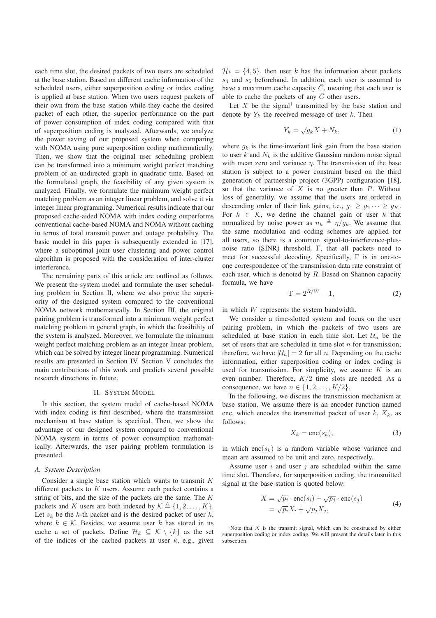each time slot, the desired packets of two users are scheduled at the base station. Based on different cache information of the scheduled users, either superposition coding or index coding is applied at base station. When two users request packets of their own from the base station while they cache the desired packet of each other, the superior performance on the part of power consumption of index coding compared with that of superposition coding is analyzed. Afterwards, we analyze the power saving of our proposed system when comparing with NOMA using pure superposition coding mathematically. Then, we show that the original user scheduling problem can be transformed into a minimum weight perfect matching problem of an undirected graph in quadratic time. Based on the formulated graph, the feasibility of any given system is analyzed. Finally, we formulate the minimum weight perfect matching problem as an integer linear problem, and solve it via integer linear programming. Numerical results indicate that our proposed cache-aided NOMA with index coding outperforms conventional cache-based NOMA and NOMA without caching in terms of total transmit power and outage probability. The basic model in this paper is subsequently extended in [17], where a suboptimal joint user clustering and power control algorithm is proposed with the consideration of inter-cluster interference.

The remaining parts of this article are outlined as follows. We present the system model and formulate the user scheduling problem in Section II, where we also prove the superiority of the designed system compared to the conventional NOMA network mathematically. In Section III, the original pairing problem is transformed into a minimum weight perfect matching problem in general graph, in which the feasibility of the system is analyzed. Moreover, we formulate the minimum weight perfect matching problem as an integer linear problem, which can be solved by integer linear programming. Numerical results are presented in Section IV. Section V concludes the main contributions of this work and predicts several possible research directions in future.

#### II. SYSTEM MODEL

In this section, the system model of cache-based NOMA with index coding is first described, where the transmission mechanism at base station is specified. Then, we show the advantage of our designed system compared to conventional NOMA system in terms of power consumption mathematically. Afterwards, the user pairing problem formulation is presented.

#### *A. System Description*

Consider a single base station which wants to transmit K different packets to  $K$  users. Assume each packet contains a string of bits, and the size of the packets are the same. The K packets and K users are both indexed by  $\mathcal{K} \triangleq \{1, 2, \ldots, K\}.$ Let  $s_k$  be the k-th packet and is the desired packet of user k, where  $k \in \mathcal{K}$ . Besides, we assume user k has stored in its cache a set of packets. Define  $\mathcal{H}_k \subseteq \mathcal{K} \setminus \{k\}$  as the set of the indices of the cached packets at user  $k$ , e.g., given

 $\mathcal{H}_k = \{4, 5\}$ , then user k has the information about packets  $s_4$  and  $s_5$  beforehand. In addition, each user is assumed to have a maximum cache capacity  $\overline{C}$ , meaning that each user is able to cache the packets of any  $\overline{C}$  other users.

Let  $X$  be the signal<sup>1</sup> transmitted by the base station and denote by  $Y_k$  the received message of user k. Then

$$
Y_k = \sqrt{g_k}X + N_k,\tag{1}
$$

where  $q_k$  is the time-invariant link gain from the base station to user  $k$  and  $N_k$  is the additive Gaussian random noise signal with mean zero and variance  $\eta$ . The transmission of the base station is subject to a power constraint based on the third generation of partnership project (3GPP) configuration [18], so that the variance of  $X$  is no greater than  $P$ . Without loss of generality, we assume that the users are ordered in descending order of their link gains, i.e.,  $q_1 > q_2 \cdots > q_K$ . For  $k \in \mathcal{K}$ , we define the channel gain of user k that normalized by noise power as  $n_k \triangleq \eta/g_k$ . We assume that the same modulation and coding schemes are applied for all users, so there is a common signal-to-interference-plusnoise ratio (SINR) threshold, Γ, that all packets need to meet for successful decoding. Specifically, Γ is in one-toone correspondence of the transmission data rate constraint of each user, which is denoted by  $R$ . Based on Shannon capacity formula, we have

$$
\Gamma = 2^{R/W} - 1,\tag{2}
$$

in which W represents the system bandwidth.

We consider a time-slotted system and focus on the user pairing problem, in which the packets of two users are scheduled at base station in each time slot. Let  $\mathcal{U}_n$  be the set of users that are scheduled in time slot  $n$  for transmission; therefore, we have  $|\mathcal{U}_n| = 2$  for all n. Depending on the cache information, either superposition coding or index coding is used for transmission. For simplicity, we assume  $K$  is an even number. Therefore,  $K/2$  time slots are needed. As a consequence, we have  $n \in \{1, 2, \ldots, K/2\}$ .

In the following, we discuss the transmission mechanism at base station. We assume there is an encoder function named enc, which encodes the transmitted packet of user  $k$ ,  $X_k$ , as follows:

$$
X_k = \text{enc}(s_k),\tag{3}
$$

in which enc( $s_k$ ) is a random variable whose variance and mean are assumed to be unit and zero, respectively.

Assume user  $i$  and user  $j$  are scheduled within the same time slot. Therefore, for superposition coding, the transmitted signal at the base station is quoted below:

$$
X = \sqrt{p_i} \cdot \text{enc}(s_i) + \sqrt{p_j} \cdot \text{enc}(s_j)
$$
  
=  $\sqrt{p_i} X_i + \sqrt{p_j} X_j,$  (4)

<sup>1</sup>Note that X is the transmit signal, which can be constructed by either superposition coding or index coding. We will present the details later in this subsection.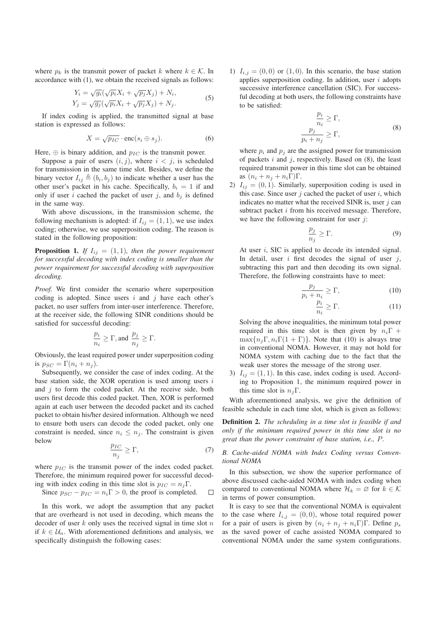where  $p_k$  is the transmit power of packet k where  $k \in \mathcal{K}$ . In accordance with (1), we obtain the received signals as follows:

$$
Y_i = \sqrt{g_i}(\sqrt{p_i}X_i + \sqrt{p_j}X_j) + N_i,
$$
  
\n
$$
Y_j = \sqrt{g_j}(\sqrt{p_i}X_i + \sqrt{p_j}X_j) + N_j.
$$
\n(5)

If index coding is applied, the transmitted signal at base station is expressed as follows:

$$
X = \sqrt{p_{IC}} \cdot \text{enc}(s_i \oplus s_j). \tag{6}
$$

Here,  $\oplus$  is binary addition, and  $p_{IC}$  is the transmit power.

Suppose a pair of users  $(i, j)$ , where  $i < j$ , is scheduled for transmission in the same time slot. Besides, we define the binary vector  $I_{ij} \triangleq (b_i, b_j)$  to indicate whether a user has the other user's packet in his cache. Specifically,  $b_i = 1$  if and only if user i cached the packet of user j, and  $b_j$  is defined in the same way.

With above discussions, in the transmission scheme, the following mechanism is adopted: if  $I_{ij} = (1, 1)$ , we use index coding; otherwise, we use superposition coding. The reason is stated in the following proposition:

**Proposition 1.** *If*  $I_{ij} = (1, 1)$ *, then the power requirement for successful decoding with index coding is smaller than the power requirement for successful decoding with superposition decoding.* 

*Proof.* We first consider the scenario where superposition coding is adopted. Since users  $i$  and  $j$  have each other's packet, no user suffers from inter-user interference. Therefore, at the receiver side, the following SINR conditions should be satisfied for successful decoding:

$$
\frac{p_i}{n_i}\geq \Gamma, \text{and} \,\, \frac{p_j}{n_j}\geq \Gamma.
$$

Obviously, the least required power under superposition coding is  $p_{SC} = \Gamma(n_i + n_j)$ .

Subsequently, we consider the case of index coding. At the base station side, the XOR operation is used among users  $i$ and  $j$  to form the coded packet. At the receive side, both users first decode this coded packet. Then, XOR is performed again at each user between the decoded packet and its cached packet to obtain his/her desired information. Although we need to ensure both users can decode the coded packet, only one constraint is needed, since  $n_i \leq n_i$ . The constraint is given below

$$
\frac{p_{IC}}{n_j} \ge \Gamma,\tag{7}
$$

where  $p_{IC}$  is the transmit power of the index coded packet. Therefore, the minimum required power for successful decoding with index coding in this time slot is  $p_{IC} = n_i \Gamma$ .

Since 
$$
p_{SC} - p_{IC} = n_i \Gamma > 0
$$
, the proof is completed.  $\square$ 

In this work, we adopt the assumption that any packet that are overheard is not used in decoding, which means the decoder of user  $k$  only uses the received signal in time slot  $n$ if  $k \in \mathcal{U}_n$ . With aforementioned definitions and analysis, we specifically distinguish the following cases:

1)  $I_{i,j} = (0,0)$  or  $(1,0)$ . In this scenario, the base station applies superposition coding. In addition, user  $i$  adopts successive interference cancellation (SIC). For successful decoding at both users, the following constraints have to be satisfied:

$$
\frac{p_i}{n_i} \ge \Gamma,
$$
  
\n
$$
\frac{p_j}{p_i + n_j} \ge \Gamma,
$$
\n(8)

where  $p_i$  and  $p_j$  are the assigned power for transmission of packets  $i$  and  $j$ , respectively. Based on  $(8)$ , the least required transmit power in this time slot can be obtained as  $(n_i + n_j + n_i \Gamma) \Gamma$ .

2)  $I_{ij} = (0, 1)$ . Similarly, superposition coding is used in this case. Since user  $j$  cached the packet of user  $i$ , which indicates no matter what the received SINR is, user  $i$  can subtract packet *i* from his received message. Therefore, we have the following constraint for user  $i$ :

$$
\frac{p_j}{n_j} \ge \Gamma. \tag{9}
$$

At user  $i$ , SIC is applied to decode its intended signal. In detail, user i first decodes the signal of user  $i$ , subtracting this part and then decoding its own signal. Therefore, the following constraints have to meet:

$$
\frac{p_j}{p_i + n_i} \ge \Gamma,\tag{10}
$$

$$
\frac{p_i}{n_i} \ge \Gamma.
$$
\n(11)

Solving the above inequalities, the minimum total power required in this time slot is then given by  $n_i \Gamma$  +  $\max\{n_i\Gamma, n_i\Gamma(1 + \Gamma)\}\.$  Note that (10) is always true in conventional NOMA. However, it may not hold for NOMA system with caching due to the fact that the weak user stores the message of the strong user.

3)  $I_{ij} = (1, 1)$ . In this case, index coding is used. According to Proposition 1, the minimum required power in this time slot is  $n_i\Gamma$ .

With aforementioned analysis, we give the definition of feasible schedule in each time slot, which is given as follows:

Definition 2. *The scheduling in a time slot is feasible if and only if the minimum required power in this time slot is no great than the power constraint of base station, i.e.,* P*.* 

*B. Cache-aided NOMA with Index Coding versus Conventional NOMA* 

In this subsection, we show the superior performance of above discussed cache-aided NOMA with index coding when compared to conventional NOMA where  $\mathcal{H}_k = \emptyset$  for  $k \in \mathcal{K}$ in terms of power consumption.

It is easy to see that the conventional NOMA is equivalent to the case where  $I_{i,j} = (0,0)$ , whose total required power for a pair of users is given by  $(n_i + n_j + n_i)\Gamma$ . Define  $p_s$ as the saved power of cache assisted NOMA compared to conventional NOMA under the same system configurations.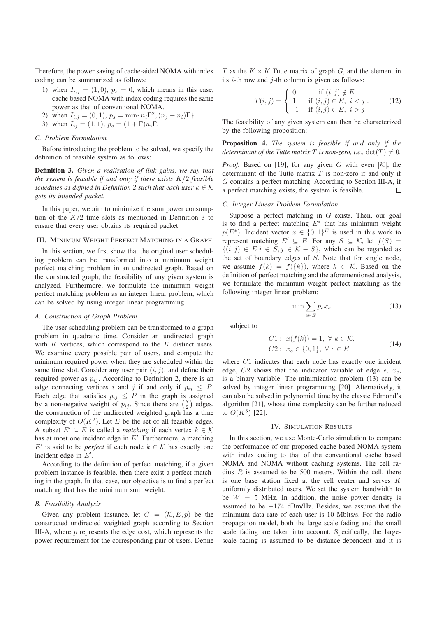Therefore, the power saving of cache-aided NOMA with index coding can be summarized as follows:

- 1) when  $I_{i,j} = (1,0), p_s = 0$ , which means in this case, cache based NOMA with index coding requires the same power as that of conventional NOMA.
- 2) when  $I_{i,j} = (0, 1), p_s = \min\{n_i \Gamma^2, (n_j n_i)\Gamma\}.$
- 3) when  $I_{ij} = (1, 1), p_s = (1 + \Gamma)n_i\Gamma$ .

## *C. Problem Formulation*

Before introducing the problem to be solved, we specify the definition of feasible system as follows:

Definition 3. *Given a realization of link gains, we say that the system is feasible if and only if there exists*  $K/2$  *feasible schedules as defined in Definition 2 such that each user*  $k \in \mathcal{K}$ *gets its intended packet.* 

In this paper, we aim to minimize the sum power consumption of the  $K/2$  time slots as mentioned in Definition 3 to ensure that every user obtains its required packet.

## III. MINIMUM WEIGHT PERFECT MATCHING IN A GRAPH

In this section, we first show that the original user scheduling problem can be transformed into a minimum weight perfect matching problem in an undirected graph. Based on the constructed graph, the feasibility of any given system is analyzed. Furthermore, we formulate the minimum weight perfect matching problem as an integer linear problem, which can be solved by using integer linear programming.

## *A. Construction of Graph Problem*

The user scheduling problem can be transformed to a graph problem in quadratic time. Consider an undirected graph with  $K$  vertices, which correspond to the  $K$  distinct users. We examine every possible pair of users, and compute the minimum required power when they are scheduled within the same time slot. Consider any user pair  $(i, j)$ , and define their required power as  $p_{ij}$ . According to Definition 2, there is an edge connecting vertices i and j if and only if  $p_{ij} \leq P$ . Each edge that satisfies  $p_{ij} \leq P$  in the graph is assigned by a non-negative weight of  $p_{ij}$ . Since there are  $\binom{K}{2}$  edges, the construction of the undirected weighted graph has a time complexity of  $O(K^2)$ . Let *E* be the set of all feasible edges.<br>A subset *E'* ⊂ *E* is called a *matching* if each vertex  $k \in K$ has at most one incident edge in  $E'$ . Furthermore, a matching E' is said to be *perfect* if each node  $k \in \mathcal{K}$  has exactly one incident edge in E'.

According to the definition of perfect matching, if a given problem instance is feasible, then there exist a perfect matching in the graph. In that case, our objective is to find a perfect matching that has the minimum sum weight.

#### *B. Feasibility Analysis*

Given any problem instance, let  $G = (\mathcal{K}, E, p)$  be the constructed undirected weighted graph according to Section III-A, where  $p$  represents the edge cost, which represents the power requirement for the corresponding pair of users. Define

T as the  $K \times K$  Tutte matrix of graph G, and the element in its  $i$ -th row and  $j$ -th column is given as follows:

$$
T(i,j) = \begin{cases} 0 & \text{if } (i,j) \notin E \\ 1 & \text{if } (i,j) \in E, \ i < j \\ -1 & \text{if } (i,j) \in E, \ i > j \end{cases}
$$
 (12)

The feasibility of any given system can then be characterized by the following proposition:

Proposition 4. *The system is feasible if and only if the determinant of the Tutte matrix T is non-zero, i.e.,*  $det(T) \neq 0$ .

*Proof.* Based on [19], for any given G with even  $|K|$ , the determinant of the Tutte matrix  $T$  is non-zero if and only if G contains a perfect matching. According to Section III-A, if a perfect matching exists, the system is feasible.  $\Box$ 

## *C. Integer Linear Problem Formulation*

Suppose a perfect matching in  $G$  exists. Then, our goal is to find a perfect matching  $E^*$  that has minimum weight  $p(E^*)$ . Incident vector  $x \in \{0,1\}^E$  is used in this work to represent matching  $E' \subseteq E$ . For any  $S \subseteq \mathcal{K}$ , let  $f(S) =$  $\{(i, j) \in E | i \in S, j \in \mathcal{K} - S\}$ , which can be regarded as the set of boundary edges of S. Note that for single node, we assume  $f(k) = f({k})$ , where  $k \in \mathcal{K}$ . Based on the definition of perfect matching and the aforementioned analysis, we formulate the minimum weight perfect matching as the following integer linear problem:

$$
\min \sum_{e \in E} p_e x_e \tag{13}
$$

subject to

C1: 
$$
x(f(k)) = 1, \forall k \in \mathcal{K},
$$
  
C2:  $x_e \in \{0, 1\}, \forall e \in E,$  (14)

where  $C1$  indicates that each node has exactly one incident edge,  $C2$  shows that the indicator variable of edge  $e$ ,  $x_e$ , is a binary variable. The minimization problem (13) can be solved by integer linear programming [20]. Alternatively, it can also be solved in polynomial time by the classic Edmond's algorithm [21], whose time complexity can be further reduced to  $O(K^3)$  [22].

#### IV. SIMULATION RESULTS

In this section, we use Monte-Carlo simulation to compare the performance of our proposed cache-based NOMA system with index coding to that of the conventional cache based NOMA and NOMA without caching systems. The cell radius  $R$  is assumed to be 500 meters. Within the cell, there is one base station fixed at the cell center and serves K uniformly distributed users. We set the system bandwidth to be  $W = 5$  MHz. In addition, the noise power density is assumed to be  $-174$  dBm/Hz. Besides, we assume that the minimum data rate of each user is 10 Mbits/s. For the radio propagation model, both the large scale fading and the small scale fading are taken into account. Specifically, the largescale fading is assumed to be distance-dependent and it is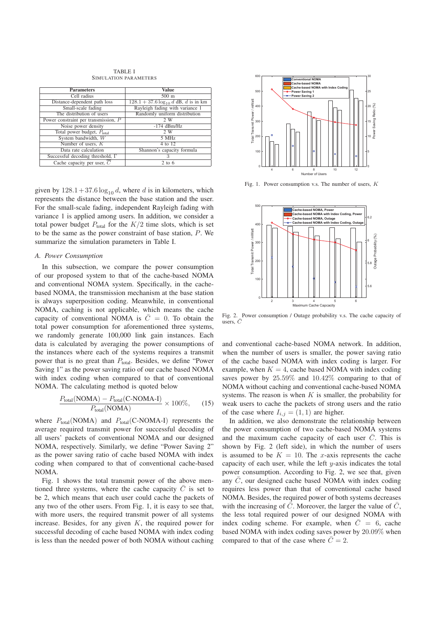TABLE I SIMULATION PARAMETERS

| <b>Parameters</b>                       | <b>Value</b>                                              | 500                                      |
|-----------------------------------------|-----------------------------------------------------------|------------------------------------------|
| Cell radius                             | $500 \text{ m}$                                           |                                          |
| Distance-dependent path loss            | $128.1 + 37.6 \log_{10} d \text{ dB}, d \text{ is in km}$ | $\sum_{\text{E}}^{\text{H}} 400$         |
| Small-scale fading                      | Rayleigh fading with variance 1                           |                                          |
| The distribution of users               | Randomly uniform distribution                             |                                          |
| Power constraint per transmission, P    | 2 W                                                       |                                          |
| Noise power density                     | $-174$ dBm/Hz                                             |                                          |
| Total power budget, $P_{total}$         | 2 W                                                       |                                          |
| System bandwidth, W                     | 5 MHz                                                     | Total Transmit Power /<br>29<br>09<br>09 |
| Number of users, $K$                    | $4$ to $12$                                               |                                          |
| Data rate calculation                   | Shannon's capacity formula                                | 100                                      |
| Successful decoding threshold, $\Gamma$ |                                                           |                                          |
| Cache capacity per user, $C$            | $2$ to 6                                                  |                                          |
|                                         |                                                           | 0                                        |

given by  $128.1 + 37.6 \log_{10} d$ , where d is in kilometers, which represents the distance between the base station and the user. For the small-scale fading, independent Rayleigh fading with variance 1 is applied among users. In addition, we consider a total power budget  $P_{\text{total}}$  for the  $K/2$  time slots, which is set<br>to be the same as the power constraint of base station, P. We to be the same as the power constraint of base station, P. We summarize the simulation parameters in Table I.

## *A. Power Consumption*

In this subsection, we compare the power consumption of our proposed system to that of the cache-based NOMA and conventional NOMA system. Specifically, in the cachebased NOMA, the transmission mechanism at the base station is always superposition coding. Meanwhile, in conventional NOMA, caching is not applicable, which means the cache capacity of conventional NOMA is  $\overline{C} = 0$ . To obtain the total power consumption for aforementioned three systems, we randomly generate 100,000 link gain instances. Each data is calculated by averaging the power consumptions of the instances where each of the systems requires a transmit power that is no great than  $P_{total}$ . Besides, we define "Power Saving 1" as the power saving ratio of our cache based NOMA with index coding when compared to that of conventional NOMA. The calculating method is quoted below

$$
\frac{P_{\text{total}}(\text{NOMA}) - P_{\text{total}}(\text{C-NOMA-I})}{P_{\text{total}}(\text{NOMA})} \times 100\%,\qquad(15)
$$

where  $P_{\text{total}}(\text{NOMA})$  and  $P_{\text{total}}(\text{C-NOMA-I})$  represents the average required transmit power for successful decoding of all users' packets of conventional NOMA and our designed NOMA, respectively. Similarly, we define "Power Saving 2" as the power saving ratio of cache based NOMA with index coding when compared to that of conventional cache-based NOMA.

Fig. 1 shows the total transmit power of the above mentioned three systems, where the cache capacity  $\overline{C}$  is set to be 2, which means that each user could cache the packets of any two of the other users. From Fig. 1, it is easy to see that, with more users, the required transmit power of all systems increase. Besides, for any given  $K$ , the required power for successful decoding of cache based NOMA with index coding is less than the needed power of both NOMA without caching



Fig. 1. Power consumption v.s. The number of users,  $K$ 



Fig. 2. Power consumption / Outage probability v.s. The cache capacity of users,  $\bar{C}$ 

and conventional cache-based NOMA network. In addition, when the number of users is smaller, the power saving ratio of the cache based NOMA with index coding is larger. For example, when  $K = 4$ , cache based NOMA with index coding saves power by 25.59% and 10.42% comparing to that of NOMA without caching and conventional cache-based NOMA systems. The reason is when  $K$  is smaller, the probability for weak users to cache the packets of strong users and the ratio of the case where  $I_{i,j} = (1, 1)$  are higher.

In addition, we also demonstrate the relationship between the power consumption of two cache-based NOMA systems and the maximum cache capacity of each user  $\overline{C}$ . This is shown by Fig. 2 (left side), in which the number of users is assumed to be  $K = 10$ . The x-axis represents the cache capacity of each user, while the left  $y$ -axis indicates the total power consumption. According to Fig. 2, we see that, given any  $\overline{C}$ , our designed cache based NOMA with index coding requires less power than that of conventional cache based NOMA. Besides, the required power of both systems decreases with the increasing of  $\overline{C}$ . Moreover, the larger the value of  $\overline{C}$ , the less total required power of our designed NOMA with index coding scheme. For example, when  $\overline{C} = 6$ , cache based NOMA with index coding saves power by 20.09% when compared to that of the case where  $\overline{C} = 2$ .